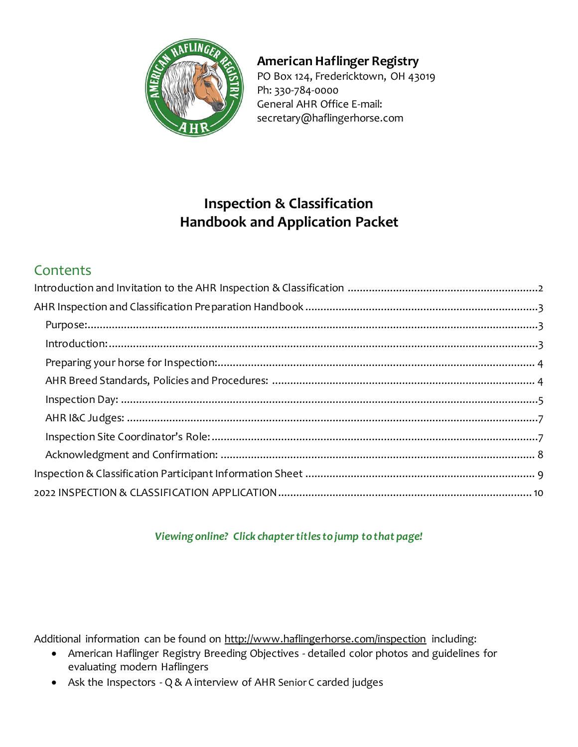

## **American Haflinger Registry**

PO Box 124, Fredericktown, OH 43019 Ph: 330-784-0000 General AHR Office E-mail: secretary@haflingerhorse.com

# **Inspection & Classification Handbook and Application Packet**

# **Contents**

#### *Viewing online? Click chapter titles to jump to that page!*

Additional information can be found on<http://www.haflingerhorse.com/inspection> including:

- American Haflinger Registry Breeding Objectives detailed color photos and guidelines for evaluating modern Haflingers
- Ask the Inspectors Q & A interview of AHR Senior C carded judges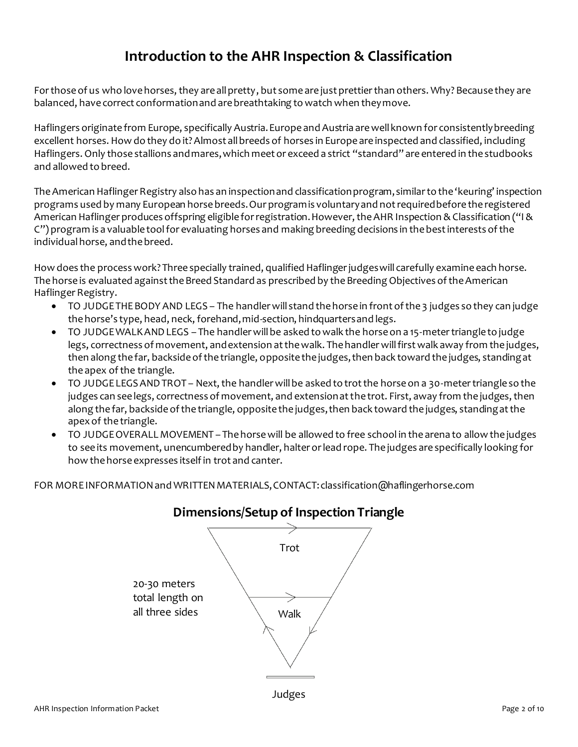# **Introduction to the AHR Inspection & Classification**

<span id="page-1-0"></span>For those of us who love horses, they are all pretty, but some are just prettier than others. Why? Because they are balanced, have correct conformation and are breathtaking to watch when they move.

Haflingers originate from Europe, specifically Austria. Europe and Austria are well known for consistently breeding excellent horses. How do they do it? Almost all breeds of horses in Europe are inspected and classified, including Haflingers. Only those stallions and mares, which meet or exceed a strict "standard" are entered in the studbooks and allowed to breed.

The American Haflinger Registry also has an inspection and classification program, similar to the 'keuring' inspection programs used by many European horse breeds. Our program is voluntary and not required before the registered American Haflinger produces offspring eligible for registration. However, the AHR Inspection & Classification ("I & C") program is a valuable tool for evaluating horses and making breeding decisions in the best interests of the individual horse, and the breed.

How does the process work? Three specially trained, qualified Haflinger judges will carefully examine each horse. The horse is evaluated against the Breed Standard as prescribed by the Breeding Objectives of the American Haflinger Registry.

- TO JUDGE THE BODY AND LEGS The handler will stand the horse in front of the 3 judges so they can judge the horse's type, head, neck, forehand, mid-section, hindquarters and legs.
- TO JUDGE WALK AND LEGS The handler will be asked to walk the horse on a 15-meter triangle to judge legs, correctness of movement, and extension at the walk. The handler will first walk away from the judges, then along the far, backside of the triangle, opposite the judges, then back toward the judges, standing at the apex of the triangle.
- TO JUDGE LEGS AND TROT Next, the handler will be asked to trot the horse on a 30-meter triangle so the judges can see legs, correctness of movement, and extension at the trot. First, away from the judges, then along the far, backside of the triangle, opposite the judges, then back toward the judges, standing at the apex of the triangle.
- TO JUDGE OVERALL MOVEMENT The horse will be allowed to free school in the arena to allow the judges to see its movement, unencumbered by handler, halter or lead rope. The judges are specifically looking for how the horse expresses itself in trot and canter.

FOR MORE INFORMATION and WRITTEN MATERIALS, CONTACT: classification@haflingerhorse.com



## **Dimensions/Setup of Inspection Triangle**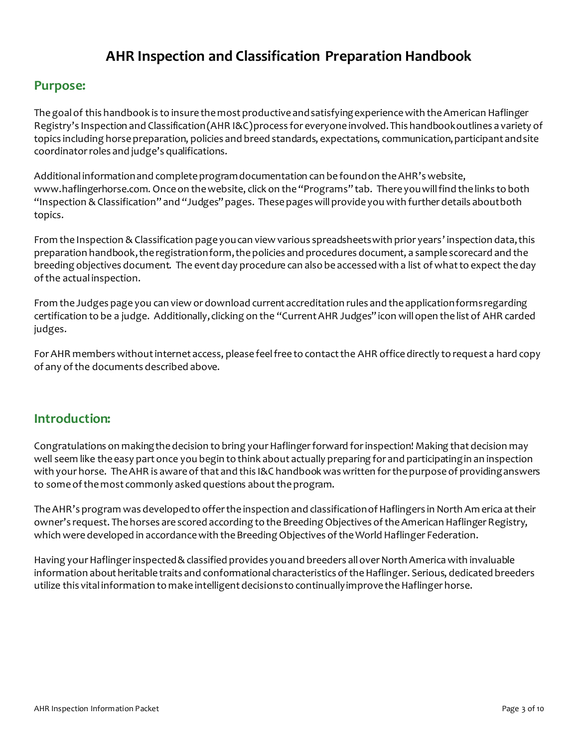# **AHR Inspection and Classification Preparation Handbook**

#### <span id="page-2-1"></span><span id="page-2-0"></span>**Purpose:**

The goal of this handbook is to insure the most productive and satisfying experience with the American Haflinger Registry's Inspection and Classification (AHR I&C) process for everyone involved. This handbook outlines a variety of topics including horse preparation, policies and breed standards, expectations, communication, participant and site coordinator roles and judge's qualifications.

Additional information and complete program documentation can be found on the AHR's website, www.haflingerhorse.com. Once on the website, click on the "Programs" tab. There you will find the links to both "Inspection & Classification" and "Judges" pages. These pages will provide you with further details about both topics.

From the Inspection & Classification page you can view various spreadsheets with prior years' inspection data, this preparation handbook, the registration form, the policies and procedures document, a sample scorecard and the breeding objectives document. The event day procedure can also be accessed with a list of what to expect the day of the actual inspection.

From the Judges page you can view or download current accreditation rules and the application forms regarding certification to be a judge. Additionally, clicking on the "Current AHR Judges" icon will open the list of AHR carded judges.

For AHR members without internet access, please feel free to contact the AHR office directly to request a hard copy of any of the documents described above.

#### <span id="page-2-2"></span>**Introduction:**

Congratulations on making the decision to bring your Haflinger forward for inspection! Making that decision may well seem like the easy part once you begin to think about actually preparing for and participating in an inspection with your horse. The AHR is aware of that and this I&C handbook was written for the purpose of providing answers to some of the most commonly asked questions about the program.

The AHR's program was developed to offer the inspection and classification of Haflingers in North Am erica at their owner's request. The horses are scored according to the Breeding Objectives of the American Haflinger Registry, which were developed in accordance with the Breeding Objectives of the World Haflinger Federation.

<span id="page-2-3"></span>Having your Haflinger inspected & classified provides you and breeders all over North America with invaluable information about heritable traits and conformational characteristics of the Haflinger. Serious, dedicated breeders utilize this vital information to make intelligent decisions to continually improve the Haflinger horse.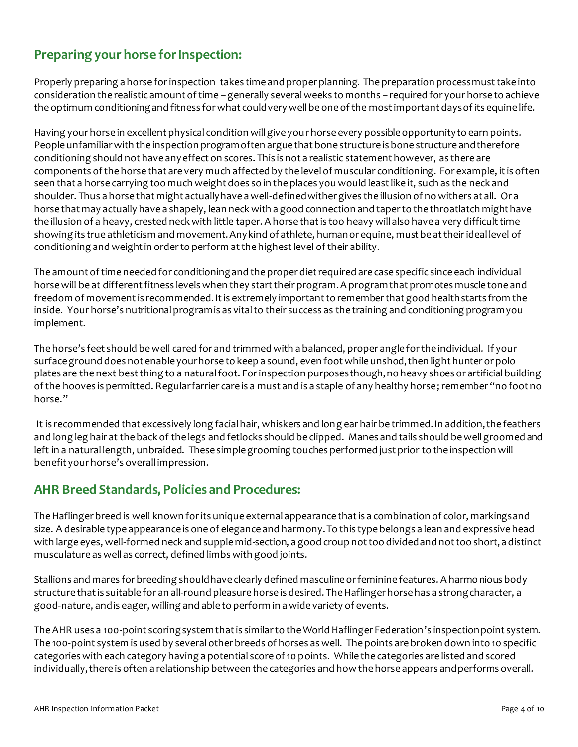## **Preparing your horse for Inspection:**

Properly preparing a horse for inspection takes time and proper planning. The preparation process must take into consideration the realistic amount of time – generally several weeks to months – required for your horse to achieve the optimum conditioning and fitness for what could very well be one of the most important days of its equine life.

Having your horse in excellent physical condition will give your horse every possible opportunity to earn points. People unfamiliar with the inspection program often argue that bone structure is bone structure and therefore conditioning should not have any effect on scores. This is not a realistic statement however, as there are components of the horse that are very much affected by the level of muscular conditioning. For example, it is often seen that a horse carrying too much weight does so in the places you would least like it, such as the neck and shoulder. Thus a horse that might actually have a well-defined wither gives the illusion of no withers at all. Or a horse that may actually have a shapely, lean neck with a good connection and taper to the throatlatch might have the illusion of a heavy, crested neck with little taper. A horse that is too heavy will also have a very difficult time showing its true athleticism and movement. Any kind of athlete, human or equine, must be at their ideal level of conditioning and weight in order to perform at the highest level of their ability.

The amount of time needed for conditioning and the proper diet required are case specific since each individual horse will be at different fitness levels when they start their program. A program that promotes muscle tone and freedom of movement is recommended. It is extremely important to remember that good health starts from the inside. Your horse's nutritional program is as vital to their success as the training and conditioning program you implement.

The horse's feet should be well cared for and trimmed with a balanced, proper angle for the individual. If your surface ground does not enable your horse to keep a sound, even foot while unshod, then light hunter or polo plates are the next best thing to a natural foot. For inspection purposes though, no heavy shoes or artificial building of the hooves is permitted. Regular farrier care is a must and is a staple of any healthy horse;remember "no foot no horse."

It is recommended that excessively long facial hair, whiskers and long ear hair be trimmed. In addition, the feathers and long leg hair at the back of the legs and fetlocks should be clipped. Manes and tails should be well groomed and left in a natural length, unbraided. These simple grooming touches performed just prior to the inspection will benefit your horse's overall impression.

#### <span id="page-3-0"></span>**AHR Breed Standards, Policies and Procedures:**

The Haflinger breed is well known for its unique external appearance that is a combination of color, markings and size. A desirable type appearance is one of elegance and harmony. To this type belongs a lean and expressive head with large eyes, well-formed neck and supple mid-section, a good croup not too divided and not too short, a distinct musculature as well as correct, defined limbs with good joints.

Stallions and mares for breeding should have clearly defined masculine or feminine features. A harmonious body structure that is suitable for an all-round pleasure horse is desired. The Haflinger horse has a strong character, a good-nature, and is eager, willing and able to perform in a wide variety of events.

The AHR uses a 100-point scoring system that is similar to the World Haflinger Federation's inspection point system. The 100-point system is used by several other breeds of horses as well. The points are broken down into 10 specific categories with each category having a potential score of 10 points. While the categories are listed and scored individually, there is often a relationship between the categories and how the horse appears and performs overall.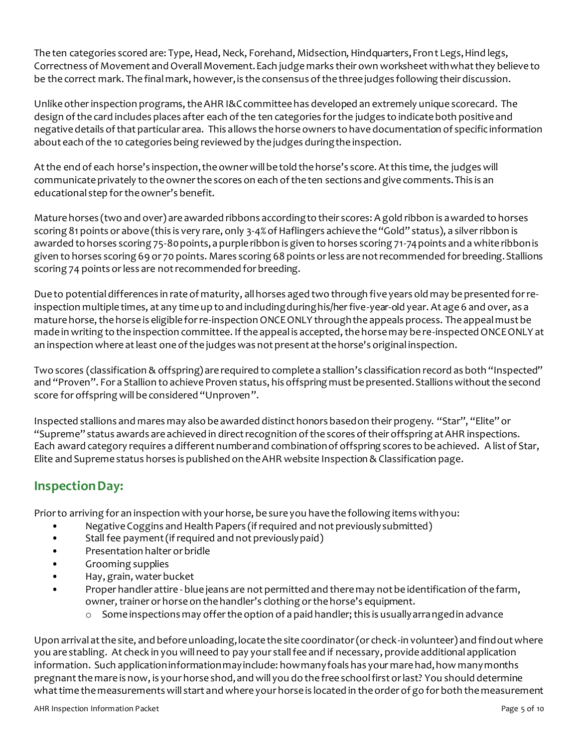The ten categories scored are: Type, Head, Neck, Forehand, Midsection, Hindquarters, Front Legs, Hind legs, Correctness of Movement and Overall Movement. Each judge marks their own worksheet with what they believe to be the correct mark. The final mark, however, is the consensus of the three judges following their discussion.

Unlike otherinspection programs, the AHR I&C committee has developed an extremely unique scorecard. The design of the card includes places after each of the ten categories for the judges to indicate both positive and negative details of that particular area. This allows the horse owners to have documentation of specific information about each of the 10 categories being reviewed by the judges during the inspection.

At the end of each horse's inspection, the owner will be told the horse's score. At this time, the judges will communicate privately to the owner the scores on each of the ten sections and give comments. This is an educational step for the owner's benefit.

Mature horses (two and over) are awarded ribbons according to their scores: A gold ribbon is awarded to horses scoring 81 points or above (this is very rare, only 3-4% of Haflingers achieve the "Gold" status), a silver ribbon is awarded to horses scoring 75-80 points, a purple ribbon is given to horses scoring 71-74 points and a white ribbon is given to horses scoring 69 or 70 points. Mares scoring 68 points or less are not recommended for breeding. Stallions scoring 74 points or less are not recommended for breeding.

Due to potential differences in rate of maturity, all horses aged two through five years old may be presented for reinspection multiple times, at any time up to and including during his/her five-year-old year. At age 6 and over, as a mature horse, the horse is eligible for re-inspection ONCE ONLY through the appeals process. The appeal must be made in writing to the inspection committee. If the appeal is accepted, the horse may be re-inspected ONCE ONLY at an inspection where at least one of the judges was not present at the horse's original inspection.

Two scores (classification & offspring) are required to complete a stallion's classification record as both "Inspected" and "Proven". For a Stallion to achieve Proven status, his offspring must be presented. Stallions without the second score for offspring will be considered "Unproven".

Inspected stallions and mares may also be awarded distinct honors based on their progeny. "Star", "Elite" or "Supreme" status awards are achieved in direct recognition of the scores of their offspring at AHR inspections. Each award category requires a different number and combination of offspring scores to be achieved. A list of Star, Elite and Supreme status horses is published on the AHR website Inspection & Classification page.

### <span id="page-4-0"></span>**Inspection Day:**

Prior to arriving for an inspection with your horse, be sure you have the following items with you:

- Negative Coggins and Health Papers (if required and not previously submitted)
- Stall fee payment (if required and not previously paid)
- Presentation halter or bridle
- Grooming supplies
- Hay, grain, water bucket
- Proper handler attire blue jeans are not permitted and there may not be identification of the farm, owner, trainer or horse on the handler's clothing or the horse's equipment.
	- $\circ$  Some inspections may offer the option of a paid handler; this is usually arranged in advance

Upon arrival at the site, and before unloading, locate the site coordinator (or check-in volunteer) and find out where you are stabling. At check in you will need to pay your stall fee and if necessary, provide additional application information. Such application information may include: how many foals has your mare had, how many months pregnant the mare is now, is your horse shod, and will you do the free school first or last? You should determine what time the measurements will start and where your horse is located in the order of go for both the measurement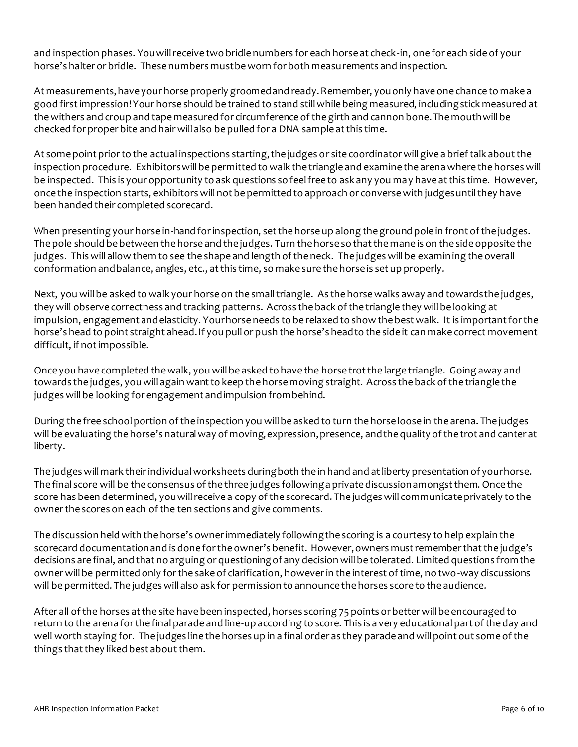and inspection phases. You will receive two bridle numbers for each horse at check-in, one for each side of your horse's halter or bridle. These numbers must be worn for both measurements and inspection.

At measurements, have your horse properly groomed and ready. Remember, you only have one chance to make a good first impression! Your horse should be trained to stand still while being measured, including stick measured at the withers and croup and tape measured for circumference of the girth and cannon bone. The mouth will be checked for proper bite and hair will also be pulled for a DNA sample at this time.

At some point prior to the actual inspections starting, the judges or site coordinator will give a brief talk about the inspection procedure. Exhibitors will be permitted to walk the triangle and examine the arena where the horses will be inspected. This is your opportunity to ask questions so feel free to ask any you may have at this time. However, once the inspection starts, exhibitors will not be permitted to approach or converse with judges until they have been handed their completed scorecard.

When presenting your horse in-hand for inspection, set the horse up along the ground pole in front of the judges. The pole should be between the horse and the judges. Turn the horse so that the mane is on the side opposite the judges. This will allow them to see the shape and length of the neck. The judges will be examining the overall conformation and balance, angles, etc., at this time, so make sure the horse is set up properly.

Next, you will be asked to walk your horse on the small triangle. As the horse walks away and towards the judges, they will observe correctness and tracking patterns. Across the back of the triangle they will be looking at impulsion, engagement and elasticity. Your horse needs to be relaxed to show the best walk. It is important for the horse's head to point straight ahead. If you pull or push the horse's head to the side it can make correct movement difficult, if not impossible.

Once you have completed the walk, you will be asked to have the horse trot the large triangle. Going away and towards the judges, you will again want to keep the horse moving straight. Across the back of the triangle the judges will be looking for engagement and impulsion from behind.

During the free school portion of the inspection you will be asked to turn the horse loose in the arena. The judges will be evaluating the horse's natural way of moving, expression, presence, and the quality of the trot and canter at liberty.

The judges will mark their individual worksheets during both the in hand and at liberty presentation of your horse. The final score will be the consensus of the three judges following a private discussion amongst them. Once the score has been determined, you will receive a copy of the scorecard. The judges will communicate privately to the owner the scores on each of the ten sections and give comments.

The discussion held with the horse's owner immediately following the scoring is a courtesy to help explain the scorecard documentation and is done for the owner's benefit. However, owners must remember that the judge's decisions are final, and that no arguing or questioning of any decision will be tolerated. Limited questions from the owner will be permitted only for the sake of clarification, however in the interest of time, no two-way discussions will be permitted. The judges will also ask for permission to announce the horses score to the audience.

After all of the horses at the site have been inspected, horses scoring 75 points or better will be encouraged to return to the arena for the final parade and line-up according to score. This is a very educational part of the day and well worth staying for. The judges line the horses up in a final order as they parade and will point out some of the things that they liked best about them.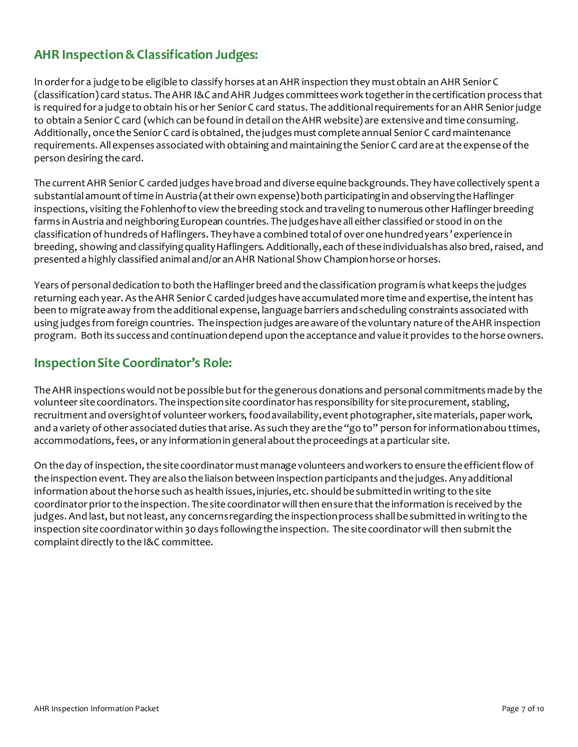### <span id="page-6-0"></span>**AHR Inspection &Classification Judges:**

In order for a judge to be eligible to classify horses at an AHR inspection they must obtain an AHR Senior C (classification) card status. The AHR I&C and AHR Judges committees work together in the certification process that is required for a judge to obtain his or her Senior C card status. The additional requirements for an AHR Senior judge to obtain a Senior C card (which can be found in detail on the AHR website) are extensive and time consuming. Additionally, once the Senior C card is obtained, the judges must complete annual Senior C card maintenance requirements. All expenses associated with obtaining and maintaining the Senior C card are at the expense of the person desiring the card.

The current AHR Senior C carded judges have broad and diverse equine backgrounds. They have collectively spent a substantial amount of time in Austria (at their own expense) both participating in and observing the Haflinger inspections, visiting the Fohlenhof to view the breeding stock and traveling to numerous other Haflinger breeding farms in Austria and neighboring European countries. The judges have all either classified or stood in on the classification of hundreds of Haflingers. They have a combined total of over one hundred years 'experience in breeding, showing and classifying quality Haflingers. Additionally, each of these individuals has also bred, raised, and presented a highly classified animal and/or an AHR National Show Champion horse or horses.

Years of personal dedication to both the Haflinger breed and the classification program is what keeps the judges returning each year. As the AHR Senior C carded judges have accumulated more time and expertise, the intent has been to migrate away from the additional expense, language barriers and scheduling constraints associated with using judges from foreign countries. The inspection judges are aware of the voluntary nature of the AHR inspection program. Both its success and continuation depend upon the acceptance and value it provides to the horse owners.

#### <span id="page-6-1"></span>**Inspection Site Coordinator's Role:**

The AHR inspections would not be possible but for the generous donations and personal commitments made by the volunteer site coordinators. The inspection site coordinator has responsibility for site procurement, stabling, recruitment and oversight of volunteer workers, food availability, event photographer, site materials, paper work, and a variety of other associated duties that arise. As such they are the "go to" person for information abou ttimes, accommodations, fees, or any information in general about the proceedings at a particular site.

On the day of inspection, the site coordinator must manage volunteers and workers to ensure the efficient flow of the inspection event. They are also the liaison between inspection participants and the judges. Any additional information about the horse such as health issues, injuries, etc. should be submitted in writing to the site coordinator prior to the inspection. The site coordinator will then ensure that the information is received by the judges. And last, but not least, any concerns regarding the inspection process shall be submitted in writing to the inspection site coordinator within 30 days following the inspection. The site coordinator will then submit the complaint directly to the I&C committee.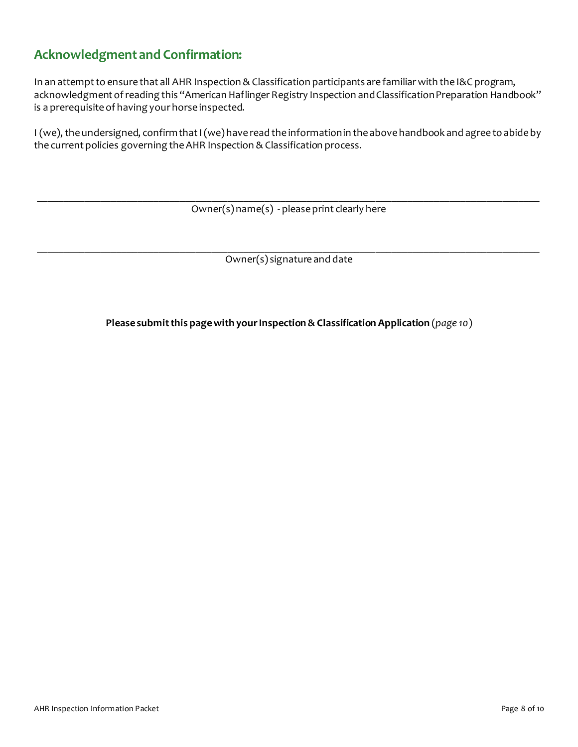## <span id="page-7-0"></span>**Acknowledgment and Confirmation:**

In an attempt to ensure that all AHR Inspection & Classification participants are familiar with the I&C program, acknowledgment of reading this "American Haflinger Registry Inspection and Classification Preparation Handbook" is a prerequisite of having your horse inspected.

I (we), the undersigned, confirm that I (we) have read the information in the above handbook and agree to abide by the current policies governing the AHR Inspection & Classification process.

\_\_\_\_\_\_\_\_\_\_\_\_\_\_\_\_\_\_\_\_\_\_\_\_\_\_\_\_\_\_\_\_\_\_\_\_\_\_\_\_\_\_\_\_\_\_\_\_\_\_\_\_\_\_\_\_\_\_\_\_\_\_\_\_\_\_\_\_\_\_\_\_\_\_\_\_\_\_\_\_\_\_\_\_\_\_\_\_\_\_\_\_\_\_\_ Owner(s) name(s) - please print clearly here

\_\_\_\_\_\_\_\_\_\_\_\_\_\_\_\_\_\_\_\_\_\_\_\_\_\_\_\_\_\_\_\_\_\_\_\_\_\_\_\_\_\_\_\_\_\_\_\_\_\_\_\_\_\_\_\_\_\_\_\_\_\_\_\_\_\_\_\_\_\_\_\_\_\_\_\_\_\_\_\_\_\_\_\_\_\_\_\_\_\_\_\_\_\_\_ Owner(s) signature and date

**Please submit this page with your Inspection & Classification Application** (*page 10*)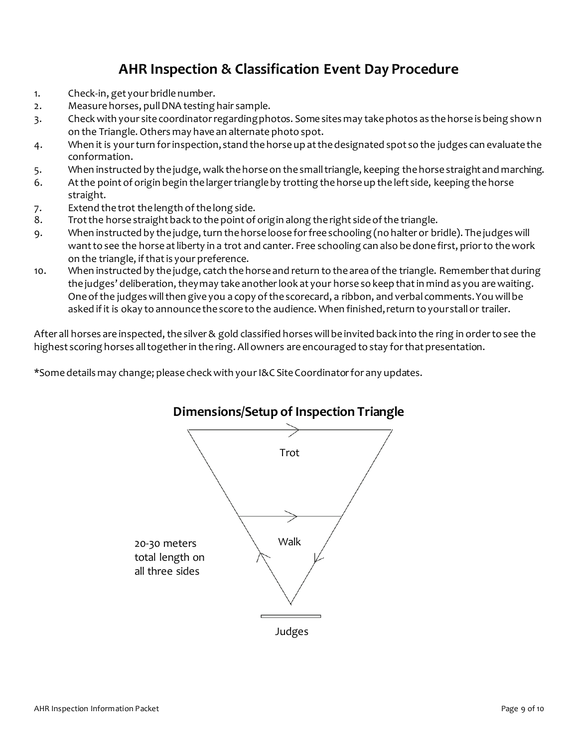# **AHR Inspection & Classification Event Day Procedure**

- <span id="page-8-0"></span>1. Check-in, get your bridle number.
- 2. Measure horses, pull DNA testing hair sample.
- 3. Check with your site coordinator regarding photos. Some sites may take photos as the horse is being shown on the Triangle. Others may have an alternate photo spot.
- 4. When it is your turn for inspection, stand the horse up at the designated spot so the judges can evaluate the conformation.
- 5. When instructed by the judge, walk the horse on the small triangle, keeping thehorse straight and marching.
- 6. At the point of origin begin the larger triangle by trotting the horse up the left side, keeping the horse straight.
- 7. Extend the trot the length of the long side.
- 8. Trot the horse straight back to the point of origin along the right side of the triangle.
- 9. When instructed by the judge, turn the horse loose for free schooling (no halter or bridle). The judges will want to see the horse at liberty in a trot and canter. Free schooling can also be done first, prior to the work on the triangle, if that is your preference.
- 10. When instructed by the judge, catch the horse and return to the area of the triangle. Remember that during the judges' deliberation, they may take another look at your horse so keep that in mind as you are waiting. One of the judges will then give you a copy of the scorecard, a ribbon, and verbal comments. You will be asked if it is okay to announce the score to the audience. When finished, return to your stall or trailer.

After all horses are inspected, the silver & gold classified horses will be invited back into the ring in order to see the highest scoring horses all together in the ring. All owners are encouraged to stay for that presentation.

\*Some details may change; please check with your I&C Site Coordinator for any updates.



### **Dimensions/Setup of Inspection Triangle**